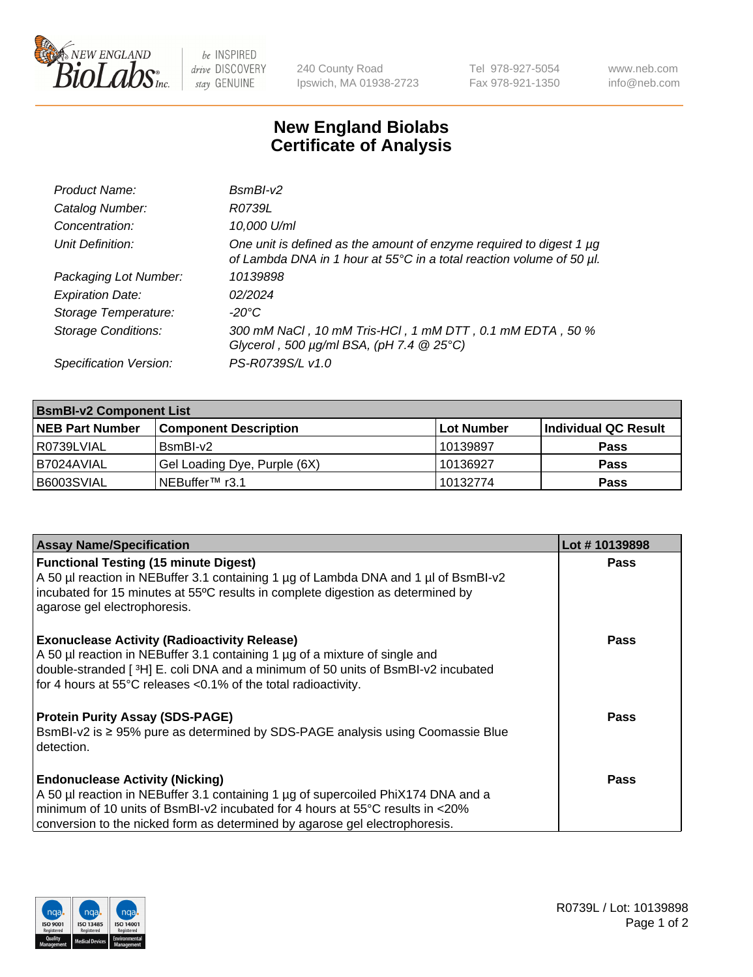

 $be$  INSPIRED drive DISCOVERY stay GENUINE

240 County Road Ipswich, MA 01938-2723 Tel 978-927-5054 Fax 978-921-1350 www.neb.com info@neb.com

## **New England Biolabs Certificate of Analysis**

| Product Name:              | $BsmBl-v2$                                                                                                                                  |
|----------------------------|---------------------------------------------------------------------------------------------------------------------------------------------|
| Catalog Number:            | R0739L                                                                                                                                      |
| Concentration:             | 10,000 U/ml                                                                                                                                 |
| Unit Definition:           | One unit is defined as the amount of enzyme required to digest 1 µg<br>of Lambda DNA in 1 hour at 55°C in a total reaction volume of 50 µl. |
| Packaging Lot Number:      | 10139898                                                                                                                                    |
| <b>Expiration Date:</b>    | 02/2024                                                                                                                                     |
| Storage Temperature:       | $-20^{\circ}$ C                                                                                                                             |
| <b>Storage Conditions:</b> | 300 mM NaCl, 10 mM Tris-HCl, 1 mM DTT, 0.1 mM EDTA, 50 %<br>Glycerol, 500 $\mu$ g/ml BSA, (pH 7.4 $@25°C$ )                                 |
| Specification Version:     | PS-R0739S/L v1.0                                                                                                                            |

| <b>BsmBI-v2 Component List</b> |                              |            |                      |  |  |
|--------------------------------|------------------------------|------------|----------------------|--|--|
| <b>NEB Part Number</b>         | <b>Component Description</b> | Lot Number | Individual QC Result |  |  |
| R0739LVIAL                     | BsmBI-v2                     | 10139897   | <b>Pass</b>          |  |  |
| I B7024AVIAL                   | Gel Loading Dye, Purple (6X) | 10136927   | <b>Pass</b>          |  |  |
| B6003SVIAL                     | INEBuffer™ r3.1              | 10132774   | <b>Pass</b>          |  |  |

| <b>Assay Name/Specification</b>                                                                                                                                 | Lot #10139898 |
|-----------------------------------------------------------------------------------------------------------------------------------------------------------------|---------------|
| <b>Functional Testing (15 minute Digest)</b><br>A 50 µl reaction in NEBuffer 3.1 containing 1 µg of Lambda DNA and 1 µl of BsmBI-v2                             | <b>Pass</b>   |
| incubated for 15 minutes at 55°C results in complete digestion as determined by<br>agarose gel electrophoresis.                                                 |               |
| <b>Exonuclease Activity (Radioactivity Release)</b>                                                                                                             | Pass          |
| A 50 µl reaction in NEBuffer 3.1 containing 1 µg of a mixture of single and<br>double-stranded [3H] E. coli DNA and a minimum of 50 units of BsmBI-v2 incubated |               |
| for 4 hours at 55°C releases <0.1% of the total radioactivity.                                                                                                  |               |
| <b>Protein Purity Assay (SDS-PAGE)</b>                                                                                                                          | Pass          |
| BsmBI-v2 is ≥ 95% pure as determined by SDS-PAGE analysis using Coomassie Blue<br>detection.                                                                    |               |
| <b>Endonuclease Activity (Nicking)</b>                                                                                                                          | <b>Pass</b>   |
| A 50 µl reaction in NEBuffer 3.1 containing 1 µg of supercoiled PhiX174 DNA and a                                                                               |               |
| $\mid$ minimum of 10 units of BsmBI-v2 incubated for 4 hours at 55°C results in <20%                                                                            |               |
| conversion to the nicked form as determined by agarose gel electrophoresis.                                                                                     |               |